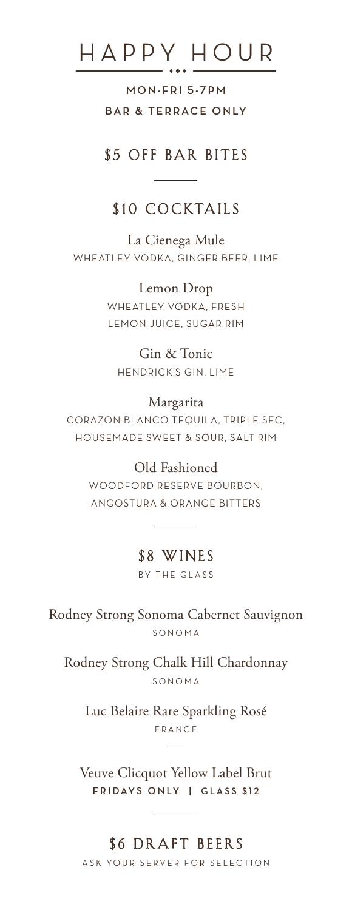# HAPPY HOUR

**MON- FRI 5-7 P M BAR & TERRACE ONLY** 

#### \$5 OFF BAR BITES

## \$10 COCKTAILS

La Cienega Mule WHEATLEY VODKA, GINGER BEER, LIME

> Lemon Drop WHEATLEY VODKA, FRESH LEMON JUICE, SUGAR RIM

Gin & Tonic HENDRICK'S GIN, LIME

#### Margarita

CORAZON BLANCO TEQUILA, TRIPLE SEC, HOUSEMADE SWEET & SOUR, SALT RIM

#### Old Fashioned

WOODFORD RESERVE BOURBON, ANGOSTURA & ORANGE BITTERS

#### \$8 WINES

BY THE GLASS

Rodney Strong Sonoma Cabernet Sauvignon SONOMA

Rodney Strong Chalk Hill Chardonnay SONOMA

Luc Belaire Rare Sparkling Rosé FRANCE

Veuve Clicquot Yellow Label Brut **F R I DAYS O N LY | GLASS \$12**

## \$6 DRAFT BEERS

ASK YOUR SERVER FOR SELECTION